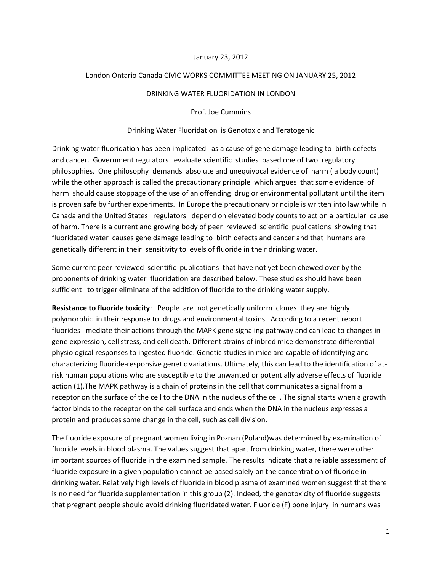## January 23, 2012

## London Ontario Canada CIVIC WORKS COMMITTEE MEETING ON JANUARY 25, 2012

#### DRINKING WATER FLUORIDATION IN LONDON

Prof. Joe Cummins

### Drinking Water Fluoridation is Genotoxic and Teratogenic

Drinking water fluoridation has been implicated as a cause of gene damage leading to birth defects and cancer. Government regulators evaluate scientific studies based one of two regulatory philosophies. One philosophy demands absolute and unequivocal evidence of harm ( a body count) while the other approach is called the precautionary principle which argues that some evidence of harm should cause stoppage of the use of an offending drug or environmental pollutant until the item is proven safe by further experiments. In Europe the precautionary principle is written into law while in Canada and the United States regulators depend on elevated body counts to act on a particular cause of harm. There is a current and growing body of peer reviewed scientific publications showing that fluoridated water causes gene damage leading to birth defects and cancer and that humans are genetically different in their sensitivity to levels of fluoride in their drinking water.

Some current peer reviewed scientific publications that have not yet been chewed over by the proponents of drinking water fluoridation are described below. These studies should have been sufficient to trigger eliminate of the addition of fluoride to the drinking water supply.

**Resistance to fluoride toxicity**: People are not genetically uniform clones they are highly polymorphic in their response to drugs and environmental toxins. According to a recent report fluorides mediate their actions through the MAPK gene signaling pathway and can lead to changes in gene expression, cell stress, and cell death. Different strains of inbred mice demonstrate differential physiological responses to ingested fluoride. Genetic studies in mice are capable of identifying and characterizing fluoride-responsive genetic variations. Ultimately, this can lead to the identification of atrisk human populations who are susceptible to the unwanted or potentially adverse effects of fluoride action (1).The MAPK pathway is a chain of proteins in the cell that communicates a signal from a receptor on the surface of the cell to the DNA in the nucleus of the cell. The signal starts when a growth factor binds to the receptor on the cell surface and ends when the DNA in the nucleus expresses a protein and produces some change in the cell, such as cell division.

The fluoride exposure of pregnant women living in Poznan (Poland)was determined by examination of fluoride levels in blood plasma. The values suggest that apart from drinking water, there were other important sources of fluoride in the examined sample. The results indicate that a reliable assessment of fluoride exposure in a given population cannot be based solely on the concentration of fluoride in drinking water. Relatively high levels of fluoride in blood plasma of examined women suggest that there is no need for fluoride supplementation in this group (2). Indeed, the genotoxicity of fluoride suggests that pregnant people should avoid drinking fluoridated water. Fluoride (F) bone injury in humans was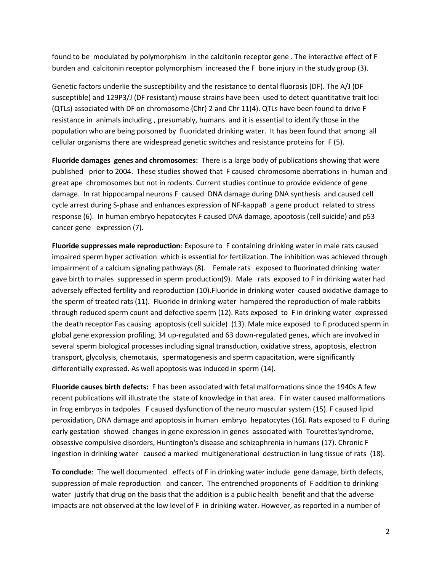found to be modulated by polymorphism in the calcitonin receptor gene . The interactive effect of F burden and calcitonin receptor polymorphism increased the F bone injury in the study group (3).

Genetic factors underlie the susceptibility and the resistance to dental fluorosis (DF). The A/J (DF susceptible) and 129P3/J (DF resistant) mouse strains have been used to detect quantitative trait loci (QTLs) associated with DF on chromosome (Chr) 2 and Chr 11(4). QTLs have been found to drive F resistance in animals including , presumably, humans and it is essential to identify those in the population who are being poisoned by fluoridated drinking water. It has been found that among all cellular organisms there are widespread genetic switches and resistance proteins for F (5).

**Fluoride damages genes and chromosomes:** There is a large body of publications showing that were published prior to 2004. These studies showed that F caused chromosome aberrations in human and great ape chromosomes but not in rodents. Current studies continue to provide evidence of gene damage. In rat hippocampal neurons F caused DNA damage during DNA synthesis and caused cell cycle arrest during S-phase and enhances expression of NF-kappaB a gene product related to stress response (6). In human embryo hepatocytes F caused DNA damage, apoptosis (cell suicide) and p53 cancer gene expression (7).

**Fluoride suppresses male reproduction**: Exposure to F containing drinking water in male rats caused impaired sperm hyper activation which is essential for fertilization. The inhibition was achieved through impairment of a calcium signaling pathways (8). Female rats exposed to fluorinated drinking water gave birth to males suppressed in sperm production(9). Male rats exposed to F in drinking water had adversely effected fertility and reproduction (10).Fluoride in drinking water caused oxidative damage to the sperm of treated rats (11). Fluoride in drinking water hampered the reproduction of male rabbits through reduced sperm count and defective sperm (12). Rats exposed to F in drinking water expressed the death receptor Fas causing apoptosis (cell suicide) (13). Male mice exposed to F produced sperm in global gene expression profiling, 34 up-regulated and 63 down-regulated genes, which are involved in several sperm biological processes including signal transduction, oxidative stress, apoptosis, electron transport, glycolysis, chemotaxis, spermatogenesis and sperm capacitation, were significantly differentially expressed. As well apoptosis was induced in sperm (14).

**Fluoride causes birth defects:** F has been associated with fetal malformations since the 1940s A few recent publications will illustrate the state of knowledge in that area. F in water caused malformations in frog embryos in tadpoles F caused dysfunction of the neuro muscular system (15). F caused lipid peroxidation, DNA damage and apoptosis in human embryo hepatocytes (16). Rats exposed to F during early gestation showed changes in gene expression in genes associated with Tourettes'syndrome, obsessive compulsive disorders, Huntington's disease and schizophrenia in humans (17). Chronic F ingestion in drinking water caused a marked multigenerational destruction in lung tissue of rats (18).

**To conclude**: The well documented effects of F in drinking water include gene damage, birth defects, suppression of male reproduction and cancer. The entrenched proponents of F addition to drinking water justify that drug on the basis that the addition is a public health benefit and that the adverse impacts are not observed at the low level of F in drinking water. However, as reported in a number of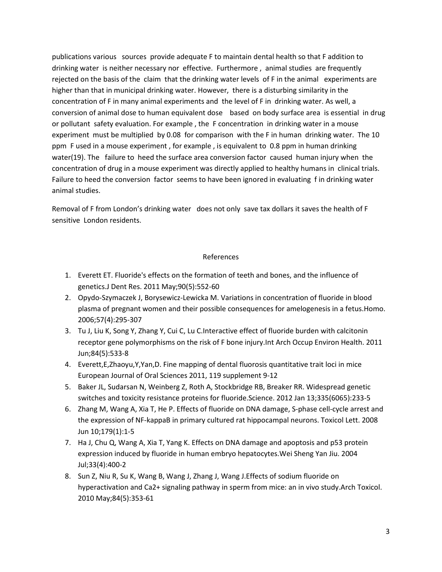publications various sources provide adequate F to maintain dental health so that F addition to drinking water is neither necessary nor effective. Furthermore , animal studies are frequently rejected on the basis of the claim that the drinking water levels of F in the animal experiments are higher than that in municipal drinking water. However, there is a disturbing similarity in the concentration of F in many animal experiments and the level of F in drinking water. As well, a conversion of animal dose to human equivalent dose based on body surface area is essential in drug or pollutant safety evaluation. For example , the F concentration in drinking water in a mouse experiment must be multiplied by 0.08 for comparison with the F in human drinking water. The 10 ppm F used in a mouse experiment , for example , is equivalent to 0.8 ppm in human drinking water(19). The failure to heed the surface area conversion factor caused human injury when the concentration of drug in a mouse experiment was directly applied to healthy humans in clinical trials. Failure to heed the conversion factor seems to have been ignored in evaluating f in drinking water animal studies.

Removal of F from London's drinking water does not only save tax dollars it saves the health of F sensitive London residents.

# References

- 1. Everett ET. Fluoride's effects on the formation of teeth and bones, and the influence of genetics.J Dent Res. 2011 May;90(5):552-60
- 2. Opydo-Szymaczek J, Borysewicz-Lewicka M. Variations in concentration of fluoride in blood plasma of pregnant women and their possible consequences for amelogenesis in a fetus.Homo. 2006;57(4):295-307
- 3. Tu J, Liu K, Song Y, Zhang Y, Cui C, Lu C.Interactive effect of fluoride burden with calcitonin receptor gene polymorphisms on the risk of F bone injury.Int Arch Occup Environ Health. 2011 Jun;84(5):533-8
- 4. Everett,E,Zhaoyu,Y,Yan,D. Fine mapping of dental fluorosis quantitative trait loci in mice European Journal of Oral Sciences 2011, 119 supplement 9-12
- 5. Baker JL, Sudarsan N, Weinberg Z, Roth A, Stockbridge RB, Breaker RR. Widespread genetic switches and toxicity resistance proteins for fluoride.Science. 2012 Jan 13;335(6065):233-5
- 6. Zhang M, Wang A, Xia T, He P. Effects of fluoride on DNA damage, S-phase cell-cycle arrest and the expression of NF-kappaB in primary cultured rat hippocampal neurons. Toxicol Lett. 2008 Jun 10;179(1):1-5
- 7. Ha J, Chu Q, Wang A, Xia T, Yang K. Effects on DNA damage and apoptosis and p53 protein expression induced by fluoride in human embryo hepatocytes.Wei Sheng Yan Jiu. 2004 Jul;33(4):400-2
- 8. Sun Z, Niu R, Su K, Wang B, Wang J, Zhang J, Wang J.Effects of sodium fluoride on hyperactivation and Ca2+ signaling pathway in sperm from mice: an in vivo study.Arch Toxicol. 2010 May;84(5):353-61